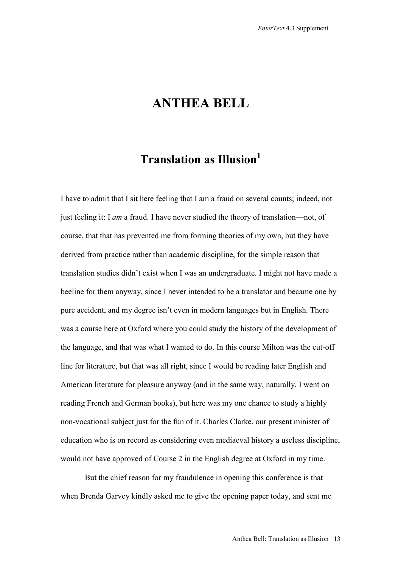## **ANTHEA BELL**

## **Translation as Illusion1**

I have to admit that I sit here feeling that I am a fraud on several counts; indeed, not just feeling it: I *am* a fraud. I have never studied the theory of translation—not, of course, that that has prevented me from forming theories of my own, but they have derived from practice rather than academic discipline, for the simple reason that translation studies didn't exist when I was an undergraduate. I might not have made a beeline for them anyway, since I never intended to be a translator and became one by pure accident, and my degree isn't even in modern languages but in English. There was a course here at Oxford where you could study the history of the development of the language, and that was what I wanted to do. In this course Milton was the cut-off line for literature, but that was all right, since I would be reading later English and American literature for pleasure anyway (and in the same way, naturally, I went on reading French and German books), but here was my one chance to study a highly non-vocational subject just for the fun of it. Charles Clarke, our present minister of education who is on record as considering even mediaeval history a useless discipline, would not have approved of Course 2 in the English degree at Oxford in my time.

But the chief reason for my fraudulence in opening this conference is that when Brenda Garvey kindly asked me to give the opening paper today, and sent me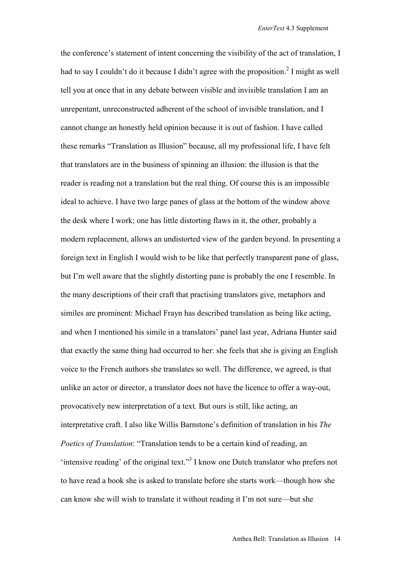the conference's statement of intent concerning the visibility of the act of translation, I had to say I couldn't do it because I didn't agree with the proposition.<sup>2</sup> I might as well tell you at once that in any debate between visible and invisible translation I am an unrepentant, unreconstructed adherent of the school of invisible translation, and I cannot change an honestly held opinion because it is out of fashion. I have called these remarks "Translation as Illusion" because, all my professional life, I have felt that translators are in the business of spinning an illusion: the illusion is that the reader is reading not a translation but the real thing. Of course this is an impossible ideal to achieve. I have two large panes of glass at the bottom of the window above the desk where I work; one has little distorting flaws in it, the other, probably a modern replacement, allows an undistorted view of the garden beyond. In presenting a foreign text in English I would wish to be like that perfectly transparent pane of glass, but I'm well aware that the slightly distorting pane is probably the one I resemble. In the many descriptions of their craft that practising translators give, metaphors and similes are prominent: Michael Frayn has described translation as being like acting, and when I mentioned his simile in a translators' panel last year, Adriana Hunter said that exactly the same thing had occurred to her: she feels that she is giving an English voice to the French authors she translates so well. The difference, we agreed, is that unlike an actor or director, a translator does not have the licence to offer a way-out, provocatively new interpretation of a text. But ours is still, like acting, an interpretative craft. I also like Willis Barnstone's definition of translation in his *The Poetics of Translation*: "Translation tends to be a certain kind of reading, an 'intensive reading' of the original text."<sup>3</sup> I know one Dutch translator who prefers not to have read a book she is asked to translate before she starts work—though how she can know she will wish to translate it without reading it I'm not sure—but she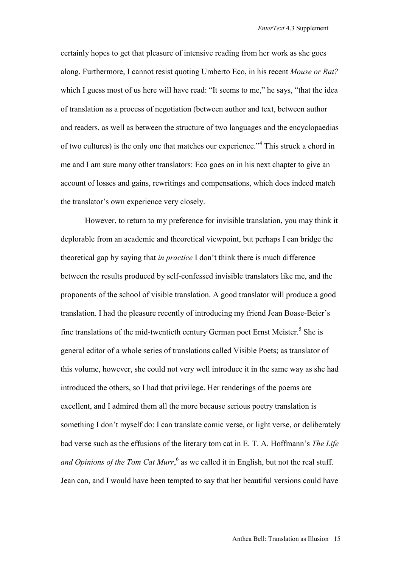certainly hopes to get that pleasure of intensive reading from her work as she goes along. Furthermore, I cannot resist quoting Umberto Eco, in his recent *Mouse or Rat?* which I guess most of us here will have read: "It seems to me," he says, "that the idea of translation as a process of negotiation (between author and text, between author and readers, as well as between the structure of two languages and the encyclopaedias of two cultures) is the only one that matches our experience."<sup>4</sup> This struck a chord in me and I am sure many other translators: Eco goes on in his next chapter to give an account of losses and gains, rewritings and compensations, which does indeed match the translator's own experience very closely.

However, to return to my preference for invisible translation, you may think it deplorable from an academic and theoretical viewpoint, but perhaps I can bridge the theoretical gap by saying that *in practice* I don't think there is much difference between the results produced by self-confessed invisible translators like me, and the proponents of the school of visible translation. A good translator will produce a good translation. I had the pleasure recently of introducing my friend Jean Boase-Beier's fine translations of the mid-twentieth century German poet Ernst Meister.<sup>5</sup> She is general editor of a whole series of translations called Visible Poets; as translator of this volume, however, she could not very well introduce it in the same way as she had introduced the others, so I had that privilege. Her renderings of the poems are excellent, and I admired them all the more because serious poetry translation is something I don't myself do: I can translate comic verse, or light verse, or deliberately bad verse such as the effusions of the literary tom cat in E. T. A. Hoffmann's *The Life*  and Opinions of the Tom Cat Murr,  $6$  as we called it in English, but not the real stuff. Jean can, and I would have been tempted to say that her beautiful versions could have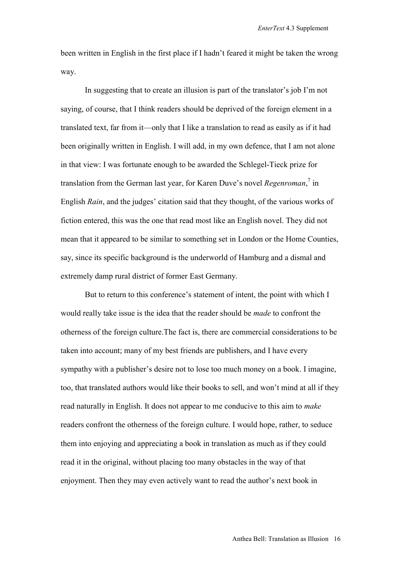been written in English in the first place if I hadn't feared it might be taken the wrong way.

In suggesting that to create an illusion is part of the translator's job I'm not saying, of course, that I think readers should be deprived of the foreign element in a translated text, far from it—only that I like a translation to read as easily as if it had been originally written in English. I will add, in my own defence, that I am not alone in that view: I was fortunate enough to be awarded the Schlegel-Tieck prize for translation from the German last year, for Karen Duve's novel *Regenroman*,<sup>7</sup> in English *Rain*, and the judges' citation said that they thought, of the various works of fiction entered, this was the one that read most like an English novel. They did not mean that it appeared to be similar to something set in London or the Home Counties, say, since its specific background is the underworld of Hamburg and a dismal and extremely damp rural district of former East Germany.

But to return to this conference's statement of intent, the point with which I would really take issue is the idea that the reader should be *made* to confront the otherness of the foreign culture.The fact is, there are commercial considerations to be taken into account; many of my best friends are publishers, and I have every sympathy with a publisher's desire not to lose too much money on a book. I imagine, too, that translated authors would like their books to sell, and won't mind at all if they read naturally in English. It does not appear to me conducive to this aim to *make* readers confront the otherness of the foreign culture. I would hope, rather, to seduce them into enjoying and appreciating a book in translation as much as if they could read it in the original, without placing too many obstacles in the way of that enjoyment. Then they may even actively want to read the author's next book in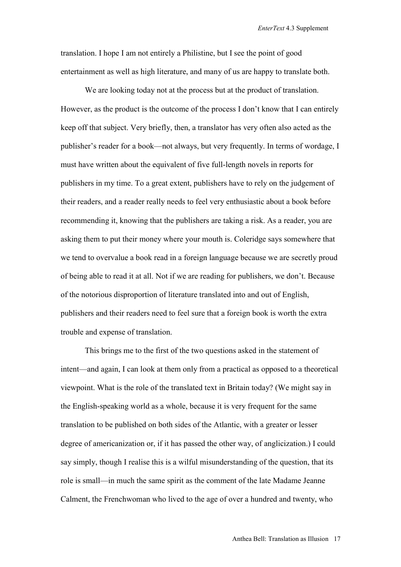translation. I hope I am not entirely a Philistine, but I see the point of good entertainment as well as high literature, and many of us are happy to translate both.

We are looking today not at the process but at the product of translation. However, as the product is the outcome of the process I don't know that I can entirely keep off that subject. Very briefly, then, a translator has very often also acted as the publisher's reader for a book—not always, but very frequently. In terms of wordage, I must have written about the equivalent of five full-length novels in reports for publishers in my time. To a great extent, publishers have to rely on the judgement of their readers, and a reader really needs to feel very enthusiastic about a book before recommending it, knowing that the publishers are taking a risk. As a reader, you are asking them to put their money where your mouth is. Coleridge says somewhere that we tend to overvalue a book read in a foreign language because we are secretly proud of being able to read it at all. Not if we are reading for publishers, we don't. Because of the notorious disproportion of literature translated into and out of English, publishers and their readers need to feel sure that a foreign book is worth the extra trouble and expense of translation.

 This brings me to the first of the two questions asked in the statement of intent—and again, I can look at them only from a practical as opposed to a theoretical viewpoint. What is the role of the translated text in Britain today? (We might say in the English-speaking world as a whole, because it is very frequent for the same translation to be published on both sides of the Atlantic, with a greater or lesser degree of americanization or, if it has passed the other way, of anglicization.) I could say simply, though I realise this is a wilful misunderstanding of the question, that its role is small—in much the same spirit as the comment of the late Madame Jeanne Calment, the Frenchwoman who lived to the age of over a hundred and twenty, who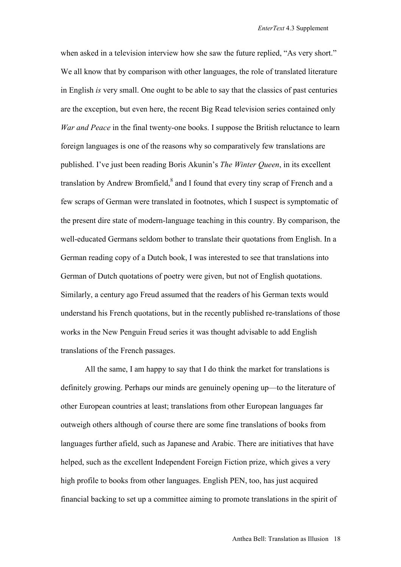when asked in a television interview how she saw the future replied, "As very short." We all know that by comparison with other languages, the role of translated literature in English *is* very small. One ought to be able to say that the classics of past centuries are the exception, but even here, the recent Big Read television series contained only *War and Peace* in the final twenty-one books. I suppose the British reluctance to learn foreign languages is one of the reasons why so comparatively few translations are published. I've just been reading Boris Akunin's *The Winter Queen*, in its excellent translation by Andrew Bromfield, $^8$  and I found that every tiny scrap of French and a few scraps of German were translated in footnotes, which I suspect is symptomatic of the present dire state of modern-language teaching in this country. By comparison, the well-educated Germans seldom bother to translate their quotations from English. In a German reading copy of a Dutch book, I was interested to see that translations into German of Dutch quotations of poetry were given, but not of English quotations. Similarly, a century ago Freud assumed that the readers of his German texts would understand his French quotations, but in the recently published re-translations of those works in the New Penguin Freud series it was thought advisable to add English translations of the French passages.

All the same, I am happy to say that I do think the market for translations is definitely growing. Perhaps our minds are genuinely opening up—to the literature of other European countries at least; translations from other European languages far outweigh others although of course there are some fine translations of books from languages further afield, such as Japanese and Arabic. There are initiatives that have helped, such as the excellent Independent Foreign Fiction prize, which gives a very high profile to books from other languages. English PEN, too, has just acquired financial backing to set up a committee aiming to promote translations in the spirit of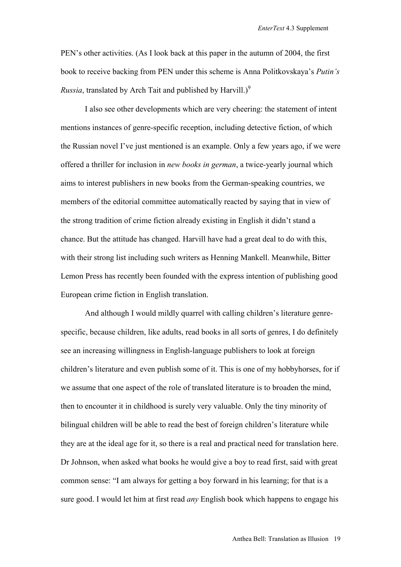PEN's other activities. (As I look back at this paper in the autumn of 2004, the first book to receive backing from PEN under this scheme is Anna Politkovskaya's *Putin's Russia*, translated by Arch Tait and published by Harvill.)<sup>9</sup>

I also see other developments which are very cheering: the statement of intent mentions instances of genre-specific reception, including detective fiction, of which the Russian novel I've just mentioned is an example. Only a few years ago, if we were offered a thriller for inclusion in *new books in german*, a twice-yearly journal which aims to interest publishers in new books from the German-speaking countries, we members of the editorial committee automatically reacted by saying that in view of the strong tradition of crime fiction already existing in English it didn't stand a chance. But the attitude has changed. Harvill have had a great deal to do with this, with their strong list including such writers as Henning Mankell. Meanwhile, Bitter Lemon Press has recently been founded with the express intention of publishing good European crime fiction in English translation.

And although I would mildly quarrel with calling children's literature genrespecific, because children, like adults, read books in all sorts of genres, I do definitely see an increasing willingness in English-language publishers to look at foreign children's literature and even publish some of it. This is one of my hobbyhorses, for if we assume that one aspect of the role of translated literature is to broaden the mind, then to encounter it in childhood is surely very valuable. Only the tiny minority of bilingual children will be able to read the best of foreign children's literature while they are at the ideal age for it, so there is a real and practical need for translation here. Dr Johnson, when asked what books he would give a boy to read first, said with great common sense: "I am always for getting a boy forward in his learning; for that is a sure good. I would let him at first read *any* English book which happens to engage his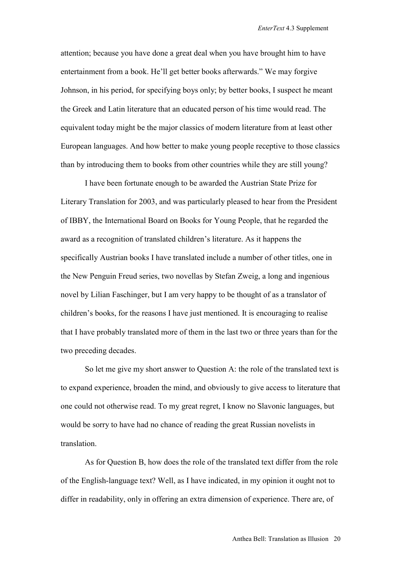attention; because you have done a great deal when you have brought him to have entertainment from a book. He'll get better books afterwards." We may forgive Johnson, in his period, for specifying boys only; by better books, I suspect he meant the Greek and Latin literature that an educated person of his time would read. The equivalent today might be the major classics of modern literature from at least other European languages. And how better to make young people receptive to those classics than by introducing them to books from other countries while they are still young?

I have been fortunate enough to be awarded the Austrian State Prize for Literary Translation for 2003, and was particularly pleased to hear from the President of IBBY, the International Board on Books for Young People, that he regarded the award as a recognition of translated children's literature. As it happens the specifically Austrian books I have translated include a number of other titles, one in the New Penguin Freud series, two novellas by Stefan Zweig, a long and ingenious novel by Lilian Faschinger, but I am very happy to be thought of as a translator of children's books, for the reasons I have just mentioned. It is encouraging to realise that I have probably translated more of them in the last two or three years than for the two preceding decades.

So let me give my short answer to Question A: the role of the translated text is to expand experience, broaden the mind, and obviously to give access to literature that one could not otherwise read. To my great regret, I know no Slavonic languages, but would be sorry to have had no chance of reading the great Russian novelists in translation.

As for Question B, how does the role of the translated text differ from the role of the English-language text? Well, as I have indicated, in my opinion it ought not to differ in readability, only in offering an extra dimension of experience. There are, of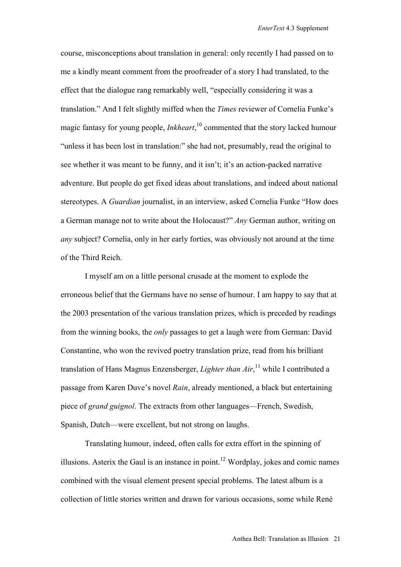course, misconceptions about translation in general: only recently I had passed on to me a kindly meant comment from the proofreader of a story I had translated, to the effect that the dialogue rang remarkably well, "especially considering it was a translation." And I felt slightly miffed when the *Times* reviewer of Cornelia Funke's magic fantasy for young people, *Inkheart*, 10 commented that the story lacked humour "unless it has been lost in translation:" she had not, presumably, read the original to see whether it was meant to be funny, and it isn't; it's an action-packed narrative adventure. But people do get fixed ideas about translations, and indeed about national stereotypes. A *Guardian* journalist, in an interview, asked Cornelia Funke "How does a German manage not to write about the Holocaust?" *Any* German author, writing on *any* subject? Cornelia, only in her early forties, was obviously not around at the time of the Third Reich.

I myself am on a little personal crusade at the moment to explode the erroneous belief that the Germans have no sense of humour. I am happy to say that at the 2003 presentation of the various translation prizes, which is preceded by readings from the winning books, the *only* passages to get a laugh were from German: David Constantine, who won the revived poetry translation prize, read from his brilliant translation of Hans Magnus Enzensberger, *Lighter than Air*, 11 while I contributed a passage from Karen Duve's novel *Rain*, already mentioned, a black but entertaining piece of *grand guignol*. The extracts from other languages—French, Swedish, Spanish, Dutch—were excellent, but not strong on laughs.

Translating humour, indeed, often calls for extra effort in the spinning of illusions. Asterix the Gaul is an instance in point.<sup>12</sup> Wordplay, jokes and comic names combined with the visual element present special problems. The latest album is a collection of little stories written and drawn for various occasions, some while René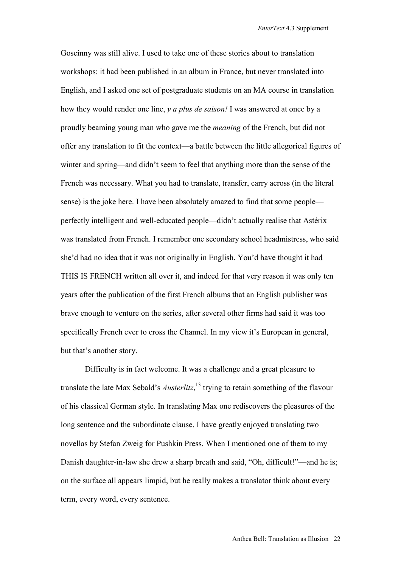Goscinny was still alive. I used to take one of these stories about to translation workshops: it had been published in an album in France, but never translated into English, and I asked one set of postgraduate students on an MA course in translation how they would render one line, *y a plus de saison!* I was answered at once by a proudly beaming young man who gave me the *meaning* of the French, but did not offer any translation to fit the context—a battle between the little allegorical figures of winter and spring—and didn't seem to feel that anything more than the sense of the French was necessary. What you had to translate, transfer, carry across (in the literal sense) is the joke here. I have been absolutely amazed to find that some people perfectly intelligent and well-educated people—didn't actually realise that Astérix was translated from French. I remember one secondary school headmistress, who said she'd had no idea that it was not originally in English. You'd have thought it had THIS IS FRENCH written all over it, and indeed for that very reason it was only ten years after the publication of the first French albums that an English publisher was brave enough to venture on the series, after several other firms had said it was too specifically French ever to cross the Channel. In my view it's European in general, but that's another story.

Difficulty is in fact welcome. It was a challenge and a great pleasure to translate the late Max Sebald's *Austerlitz*, 13 trying to retain something of the flavour of his classical German style. In translating Max one rediscovers the pleasures of the long sentence and the subordinate clause. I have greatly enjoyed translating two novellas by Stefan Zweig for Pushkin Press. When I mentioned one of them to my Danish daughter-in-law she drew a sharp breath and said, "Oh, difficult!"—and he is; on the surface all appears limpid, but he really makes a translator think about every term, every word, every sentence.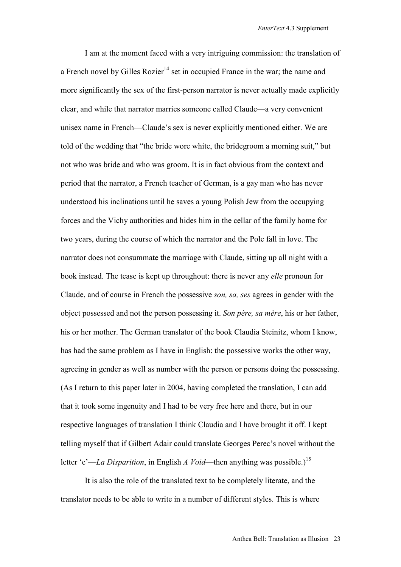I am at the moment faced with a very intriguing commission: the translation of a French novel by Gilles Rozier<sup>14</sup> set in occupied France in the war; the name and more significantly the sex of the first-person narrator is never actually made explicitly clear, and while that narrator marries someone called Claude—a very convenient unisex name in French—Claude's sex is never explicitly mentioned either. We are told of the wedding that "the bride wore white, the bridegroom a morning suit," but not who was bride and who was groom. It is in fact obvious from the context and period that the narrator, a French teacher of German, is a gay man who has never understood his inclinations until he saves a young Polish Jew from the occupying forces and the Vichy authorities and hides him in the cellar of the family home for two years, during the course of which the narrator and the Pole fall in love. The narrator does not consummate the marriage with Claude, sitting up all night with a book instead. The tease is kept up throughout: there is never any *elle* pronoun for Claude, and of course in French the possessive *son, sa, ses* agrees in gender with the object possessed and not the person possessing it. *Son père, sa mère*, his or her father, his or her mother. The German translator of the book Claudia Steinitz, whom I know, has had the same problem as I have in English: the possessive works the other way, agreeing in gender as well as number with the person or persons doing the possessing. (As I return to this paper later in 2004, having completed the translation, I can add that it took some ingenuity and I had to be very free here and there, but in our respective languages of translation I think Claudia and I have brought it off. I kept telling myself that if Gilbert Adair could translate Georges Perec's novel without the letter 'e'—*La Disparition*, in English *A Void*—then anything was possible.)<sup>15</sup>

It is also the role of the translated text to be completely literate, and the translator needs to be able to write in a number of different styles. This is where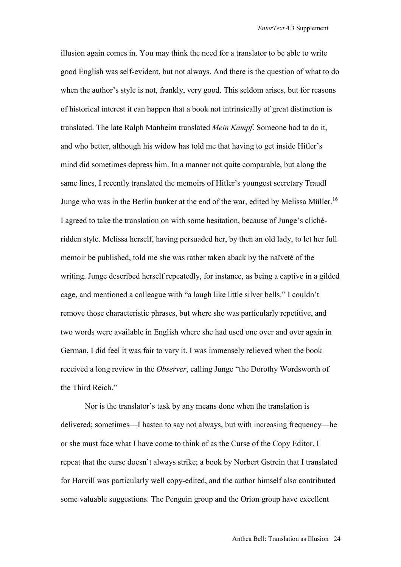illusion again comes in. You may think the need for a translator to be able to write good English was self-evident, but not always. And there is the question of what to do when the author's style is not, frankly, very good. This seldom arises, but for reasons of historical interest it can happen that a book not intrinsically of great distinction is translated. The late Ralph Manheim translated *Mein Kampf*. Someone had to do it, and who better, although his widow has told me that having to get inside Hitler's mind did sometimes depress him. In a manner not quite comparable, but along the same lines, I recently translated the memoirs of Hitler's youngest secretary Traudl Junge who was in the Berlin bunker at the end of the war, edited by Melissa Müller.<sup>16</sup> I agreed to take the translation on with some hesitation, because of Junge's clichéridden style. Melissa herself, having persuaded her, by then an old lady, to let her full memoir be published, told me she was rather taken aback by the naïveté of the writing. Junge described herself repeatedly, for instance, as being a captive in a gilded cage, and mentioned a colleague with "a laugh like little silver bells." I couldn't remove those characteristic phrases, but where she was particularly repetitive, and two words were available in English where she had used one over and over again in German, I did feel it was fair to vary it. I was immensely relieved when the book received a long review in the *Observer*, calling Junge "the Dorothy Wordsworth of the Third Reich"

Nor is the translator's task by any means done when the translation is delivered; sometimes—I hasten to say not always, but with increasing frequency—he or she must face what I have come to think of as the Curse of the Copy Editor. I repeat that the curse doesn't always strike; a book by Norbert Gstrein that I translated for Harvill was particularly well copy-edited, and the author himself also contributed some valuable suggestions. The Penguin group and the Orion group have excellent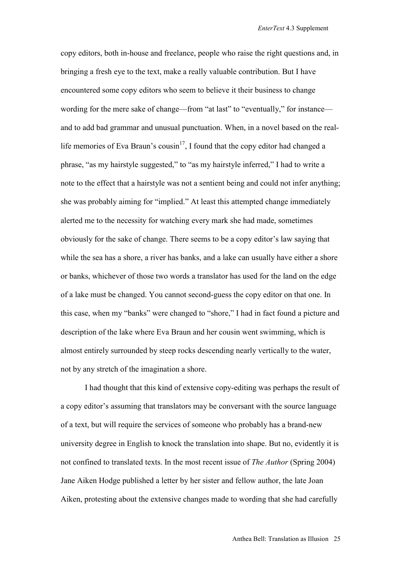copy editors, both in-house and freelance, people who raise the right questions and, in bringing a fresh eye to the text, make a really valuable contribution. But I have encountered some copy editors who seem to believe it their business to change wording for the mere sake of change—from "at last" to "eventually," for instance and to add bad grammar and unusual punctuation. When, in a novel based on the reallife memories of Eva Braun's cousin<sup>17</sup>, I found that the copy editor had changed a phrase, "as my hairstyle suggested," to "as my hairstyle inferred," I had to write a note to the effect that a hairstyle was not a sentient being and could not infer anything; she was probably aiming for "implied." At least this attempted change immediately alerted me to the necessity for watching every mark she had made, sometimes obviously for the sake of change. There seems to be a copy editor's law saying that while the sea has a shore, a river has banks, and a lake can usually have either a shore or banks, whichever of those two words a translator has used for the land on the edge of a lake must be changed. You cannot second-guess the copy editor on that one. In this case, when my "banks" were changed to "shore," I had in fact found a picture and description of the lake where Eva Braun and her cousin went swimming, which is almost entirely surrounded by steep rocks descending nearly vertically to the water, not by any stretch of the imagination a shore.

I had thought that this kind of extensive copy-editing was perhaps the result of a copy editor's assuming that translators may be conversant with the source language of a text, but will require the services of someone who probably has a brand-new university degree in English to knock the translation into shape. But no, evidently it is not confined to translated texts. In the most recent issue of *The Author* (Spring 2004) Jane Aiken Hodge published a letter by her sister and fellow author, the late Joan Aiken, protesting about the extensive changes made to wording that she had carefully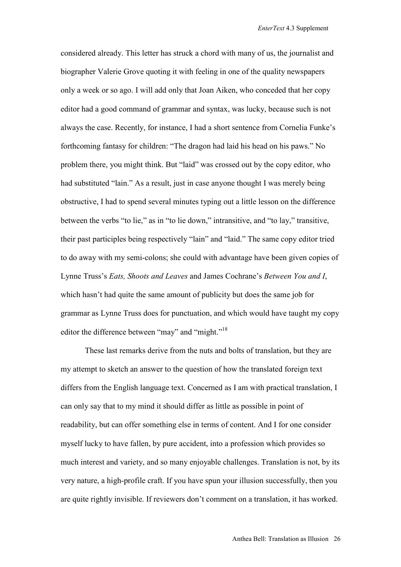considered already. This letter has struck a chord with many of us, the journalist and biographer Valerie Grove quoting it with feeling in one of the quality newspapers only a week or so ago. I will add only that Joan Aiken, who conceded that her copy editor had a good command of grammar and syntax, was lucky, because such is not always the case. Recently, for instance, I had a short sentence from Cornelia Funke's forthcoming fantasy for children: "The dragon had laid his head on his paws." No problem there, you might think. But "laid" was crossed out by the copy editor, who had substituted "lain." As a result, just in case anyone thought I was merely being obstructive, I had to spend several minutes typing out a little lesson on the difference between the verbs "to lie," as in "to lie down," intransitive, and "to lay," transitive, their past participles being respectively "lain" and "laid." The same copy editor tried to do away with my semi-colons; she could with advantage have been given copies of Lynne Truss's *Eats, Shoots and Leaves* and James Cochrane's *Between You and I*, which hasn't had quite the same amount of publicity but does the same job for grammar as Lynne Truss does for punctuation, and which would have taught my copy editor the difference between "may" and "might."<sup>18</sup>

 These last remarks derive from the nuts and bolts of translation, but they are my attempt to sketch an answer to the question of how the translated foreign text differs from the English language text. Concerned as I am with practical translation, I can only say that to my mind it should differ as little as possible in point of readability, but can offer something else in terms of content. And I for one consider myself lucky to have fallen, by pure accident, into a profession which provides so much interest and variety, and so many enjoyable challenges. Translation is not, by its very nature, a high-profile craft. If you have spun your illusion successfully, then you are quite rightly invisible. If reviewers don't comment on a translation, it has worked.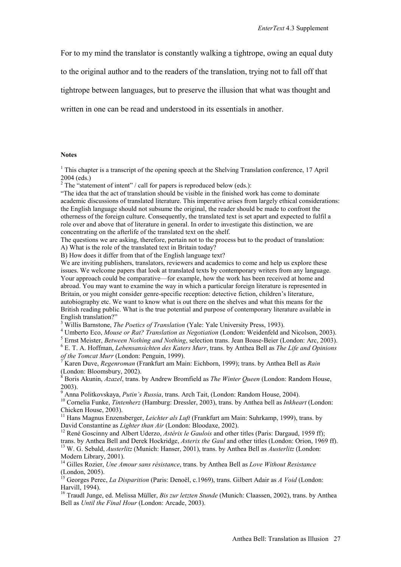For to my mind the translator is constantly walking a tightrope, owing an equal duty

to the original author and to the readers of the translation, trying not to fall off that

tightrope between languages, but to preserve the illusion that what was thought and

written in one can be read and understood in its essentials in another.

## **Notes**

<sup>1</sup> This chapter is a transcript of the opening speech at the Shelving Translation conference, 17 April 2004 (eds.)

<sup>2</sup> The "statement of intent" / call for papers is reproduced below (eds.):

"The idea that the act of translation should be visible in the finished work has come to dominate academic discussions of translated literature. This imperative arises from largely ethical considerations: the English language should not subsume the original, the reader should be made to confront the otherness of the foreign culture. Consequently, the translated text is set apart and expected to fulfil a role over and above that of literature in general. In order to investigate this distinction, we are concentrating on the afterlife of the translated text on the shelf.

The questions we are asking, therefore, pertain not to the process but to the product of translation: A) What is the role of the translated text in Britain today?

B) How does it differ from that of the English language text?

We are inviting publishers, translators, reviewers and academics to come and help us explore these issues. We welcome papers that look at translated texts by contemporary writers from any language. Your approach could be comparative—for example, how the work has been received at home and abroad. You may want to examine the way in which a particular foreign literature is represented in Britain, or you might consider genre-specific reception: detective fiction, children's literature, autobiography etc. We want to know what is out there on the shelves and what this means for the British reading public. What is the true potential and purpose of contemporary literature available in English translation?"

<sup>3</sup> Willis Barnstone, *The Poetics of Translation* (Yale: Yale University Press, 1993).

Umberto Eco, *Mouse or Rat? Translation as Negotiation* (London: Weidenfeld and Nicolson, 2003). 5

<sup>5</sup> Ernst Meister, *Between Nothing and Nothing*, selection trans. Jean Boase-Beier (London: Arc, 2003).

 E. T. A. Hoffman, *Lebensansichten des Katers Murr*, trans. by Anthea Bell as *The Life and Opinions of the Tomcat Murr* (London: Penguin, 1999).

 Karen Duve, *Regenroman* (Frankfurt am Main: Eichborn, 1999); trans. by Anthea Bell as *Rain* (London: Bloomsbury, 2002).

8 Boris Akunin, *Azazel*, trans. by Andrew Bromfield as *The Winter Queen* (London: Random House, 2003).

<sup>9</sup> Anna Politkovskaya, Putin's Russia, trans. Arch Tait, (London: Random House, 2004).

<sup>10</sup> Cornelia Funke, *Tintenherz* (Hamburg: Dressler, 2003), trans. by Anthea bell as *Inkheart* (London: Chicken House, 2003).

<sup>11</sup> Hans Magnus Enzensberger, *Leichter als Luft* (Frankfurt am Main: Suhrkamp, 1999), trans. by

David Constantine as *Lighter than Air* (London: Bloodaxe, 2002).<br><sup>12</sup> René Goscinny and Albert Uderzo, *Astérix le Gaulois* and other titles (Paris: Dargaud, 1959 ff);<br>trans. by Anthea Bell and Derek Hockridge, *Asterix t* 

<sup>13</sup> W. G. Sebald, *Austerlitz* (Munich: Hanser, 2001), trans. by Anthea Bell as *Austerlitz* (London: Modern Library, 2001).

14 Gilles Rozier, *Une Amour sans résistance*, trans. by Anthea Bell as *Love Without Resistance* (London, 2005).

15 Georges Perec, *La Disparition* (Paris: Denoël, c.1969), trans. Gilbert Adair as *A Void* (London: Harvill, 1994).

<sup>16</sup> Traudl Junge, ed. Melissa Müller, *Bis zur letzten Stunde* (Munich: Claassen, 2002), trans. by Anthea Bell as *Until the Final Hour* (London: Arcade, 2003).